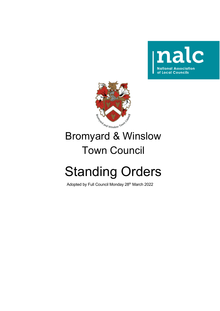



# Bromyard & Winslow Town Council

# Standing Orders

Adopted by Full Council Monday 28<sup>th</sup> March 2022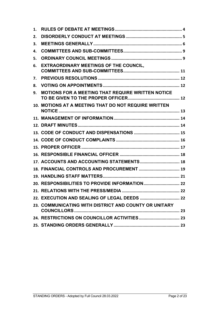| 1. |                                                          |  |
|----|----------------------------------------------------------|--|
| 2. |                                                          |  |
| 3. |                                                          |  |
| 4. |                                                          |  |
| 5. |                                                          |  |
| 6. | <b>EXTRAORDINARY MEETINGS OF THE COUNCIL,</b>            |  |
| 7. |                                                          |  |
| 8. |                                                          |  |
| 9. | <b>MOTIONS FOR A MEETING THAT REQUIRE WRITTEN NOTICE</b> |  |
|    | 10. MOTIONS AT A MEETING THAT DO NOT REQUIRE WRITTEN     |  |
|    |                                                          |  |
|    |                                                          |  |
|    |                                                          |  |
|    |                                                          |  |
|    |                                                          |  |
|    |                                                          |  |
|    | 17. ACCOUNTS AND ACCOUNTING STATEMENTS 18                |  |
|    |                                                          |  |
|    |                                                          |  |
|    |                                                          |  |
|    |                                                          |  |
|    |                                                          |  |
|    | 23. COMMUNICATING WITH DISTRICT AND COUNTY OR UNITARY    |  |
|    |                                                          |  |
|    |                                                          |  |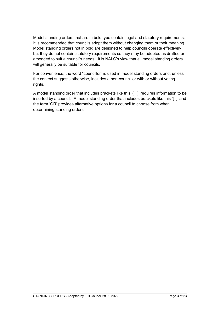Model standing orders that are in bold type contain legal and statutory requirements. It is recommended that councils adopt them without changing them or their meaning. Model standing orders not in bold are designed to help councils operate effectively but they do not contain statutory requirements so they may be adopted as drafted or amended to suit a council's needs. It is NALC's view that all model standing orders will generally be suitable for councils.

For convenience, the word "councillor" is used in model standing orders and, unless the context suggests otherwise, includes a non-councillor with or without voting rights.

A model standing order that includes brackets like this '( )' requires information to be inserted by a council. A model standing order that includes brackets like this '[ ]' and the term 'OR' provides alternative options for a council to choose from when determining standing orders.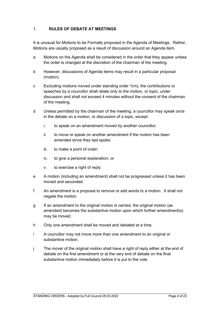# <span id="page-3-0"></span>1. **RULES OF DEBATE AT MEETINGS**

It is unusual for Motions to be Formally proposed in the Agenda of Meetings. Rather, Motions are usually proposed as a result of discussion around an Agenda item.

- a Motions on the Agenda shall be considered in the order that they appear unless the order is changed at the discretion of the chairman of the meeting.
- b However, discussions of Agenda items may result in a particular proposal (motion).
- c Excluding motions moved under standing order 1(m), the contributions or speeches by a councillor shall relate only to the motion, or topic, under discussion and shall not exceed 4 minutes without the consent of the chairman of the meeting.
- d Unless permitted by the chairman of the meeting, a councillor may speak once in the debate on a motion, or discussion of a topic, except:
	- i. to speak on an amendment moved by another councillor;
	- ii. to move or speak on another amendment if the motion has been amended since they last spoke;
	- iii. to make a point of order;
	- iv. to give a personal explanation; or
	- v. to exercise a right of reply.
- e A motion (including an amendment) shall not be progressed unless it has been moved and seconded.
- f An amendment is a proposal to remove or add words to a motion. It shall not negate the motion.
- g If an amendment to the original motion is carried, the original motion (as amended) becomes the substantive motion upon which further amendment(s) may be moved.
- h Only one amendment shall be moved and debated at a time.
- i A councillor may not move more than one amendment to an original or substantive motion.
- j The mover of the original motion shall have a right of reply either at the end of debate on the first amendment or at the very end of debate on the final substantive motion immediately before it is put to the vote.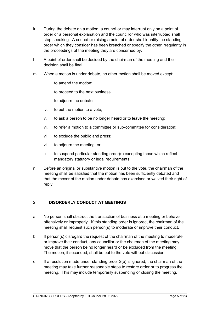- k During the debate on a motion, a councillor may interrupt only on a point of order or a personal explanation and the councillor who was interrupted shall stop speaking. A councillor raising a point of order shall identify the standing order which they consider has been breached or specify the other irregularity in the proceedings of the meeting they are concerned by.
- l A point of order shall be decided by the chairman of the meeting and their decision shall be final.
- m When a motion is under debate, no other motion shall be moved except:
	- i. to amend the motion;
	- ii. to proceed to the next business;
	- iii. to adjourn the debate;
	- iv. to put the motion to a vote;
	- v. to ask a person to be no longer heard or to leave the meeting;
	- vi. to refer a motion to a committee or sub-committee for consideration;
	- vii. to exclude the public and press;
	- viii. to adjourn the meeting; or
	- ix. to suspend particular standing order(s) excepting those which reflect mandatory statutory or legal requirements.
- n Before an original or substantive motion is put to the vote, the chairman of the meeting shall be satisfied that the motion has been sufficiently debated and that the mover of the motion under debate has exercised or waived their right of reply.

#### <span id="page-4-0"></span>2. **DISORDERLY CONDUCT AT MEETINGS**

- a No person shall obstruct the transaction of business at a meeting or behave offensively or improperly. If this standing order is ignored, the chairman of the meeting shall request such person(s) to moderate or improve their conduct.
- b If person(s) disregard the request of the chairman of the meeting to moderate or improve their conduct, any councillor or the chairman of the meeting may move that the person be no longer heard or be excluded from the meeting. The motion, if seconded, shall be put to the vote without discussion.
- c If a resolution made under standing order 2(b) is ignored, the chairman of the meeting may take further reasonable steps to restore order or to progress the meeting. This may include temporarily suspending or closing the meeting.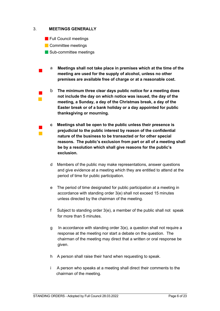#### <span id="page-5-0"></span>3. **MEETINGS GENERALLY**

- **Full Council meetings**
- **Committee meetings**

 $\overline{\phantom{a}}$  $\overline{\mathbb{R}}$ 

- Sub-committee meetings
- $\overline{\phantom{a}}$ a **Meetings shall not take place in premises which at the time of the meeting are used for the supply of alcohol, unless no other premises are available free of charge or at a reasonable cost.** 
	- b **The minimum three clear days public notice for a meeting does not include the day on which notice was issued, the day of the meeting, a Sunday, a day of the Christmas break, a day of the Easter break or of a bank holiday or a day appointed for public thanksgiving or mourning.**
- $\blacksquare$  $\mathcal{C}$ **c Meetings shall be open to the public unless their presence is prejudicial to the public interest by reason of the confidential nature of the business to be transacted or for other special reasons. The public's exclusion from part or all of a meeting shall be by a resolution which shall give reasons for the public's exclusion.**
	- d Members of the public may make representations, answer questions and give evidence at a meeting which they are entitled to attend at the period of time for public participation.
	- e The period of time designated for public participation at a meeting in accordance with standing order 3(e) shall not exceed 15 minutes unless directed by the chairman of the meeting.
	- f Subject to standing order 3(e), a member of the public shall not speak for more than 5 minutes.
	- g In accordance with standing order 3(e), a question shall not require a response at the meeting nor start a debate on the question. The chairman of the meeting may direct that a written or oral response be given.
	- h A person shall raise their hand when requesting to speak.
	- i A person who speaks at a meeting shall direct their comments to the chairman of the meeting.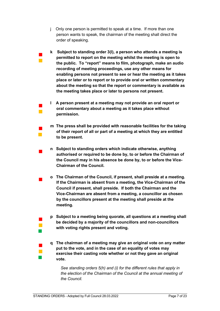j Only one person is permitted to speak at a time. If more than one person wants to speak, the chairman of the meeting shall direct the order of speaking.

 $\overline{\phantom{a}}$  $\mathbb{R}^2$ 

 $\overline{\phantom{a}}$  $\mathcal{C}^{\mathcal{C}}$ 

 $\overline{\phantom{a}}$ 

 $\overline{\phantom{a}}$  $\mathbb{R}^2$  $\mathcal{L}_{\mathcal{A}}$ 

 $\blacksquare$  $\mathcal{C}^{\mathcal{C}}$  $\mathcal{L}_{\mathcal{A}}$ 

- **k Subject to standing order 3(l), a person who attends a meeting is permitted to report on the meeting whilst the meeting is open to the public. To "report" means to film, photograph, make an audio recording of meeting proceedings, use any other means for enabling persons not present to see or hear the meeting as it takes place or later or to report or to provide oral or written commentary about the meeting so that the report or commentary is available as the meeting takes place or later to persons not present.**
- **l A person present at a meeting may not provide an oral report or oral commentary about a meeting as it takes place without permission.**
- **m The press shall be provided with reasonable facilities for the taking of their report of all or part of a meeting at which they are entitled to be present.**
- $\blacksquare$ **n Subject to standing orders which indicate otherwise, anything authorised or required to be done by, to or before the Chairman of the Council may in his absence be done by, to or before the Vice-Chairman of the Council.**
- $\overline{\phantom{a}}$ **o The Chairman of the Council, if present, shall preside at a meeting. If the Chairman is absent from a meeting, the Vice-Chairman of the Council if present, shall preside. If both the Chairman and the Vice-Chairman are absent from a meeting, a councillor as chosen by the councillors present at the meeting shall preside at the meeting.**
	- **p Subject to a meeting being quorate, all questions at a meeting shall be decided by a majority of the councillors and non-councillors with voting rights present and voting.**
	- **q The chairman of a meeting may give an original vote on any matter put to the vote, and in the case of an equality of votes may exercise their casting vote whether or not they gave an original vote.**

*See standing orders 5(h) and (i) for the different rules that apply in the election of the Chairman of the Council at the annual meeting of the Council.*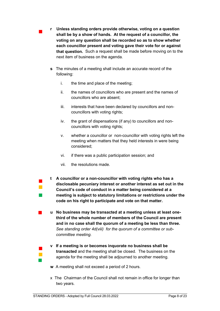- **r Unless standing orders provide otherwise, voting on a question shall be by a show of hands. At the request of a councillor, the voting on any question shall be recorded so as to show whether each councillor present and voting gave their vote for or against that question.** Such a request shall be made before moving on to the next item of business on the agenda.
	- **s** The minutes of a meeting shall include an accurate record of the following:
		- i. the time and place of the meeting;
		- ii. the names of councillors who are present and the names of councillors who are absent;
		- iii. interests that have been declared by councillors and noncouncillors with voting rights;
		- iv. the grant of dispensations (if any) to councillors and noncouncillors with voting rights;
		- v. whether a councillor or non-councillor with voting rights left the meeting when matters that they held interests in were being considered;
		- vi. if there was a public participation session; and
		- vii. the resolutions made.
- $\blacksquare$  $\mathcal{L}_{\mathcal{A}}$  $\mathbb{R}^2$

 $\overline{\phantom{a}}$  $\mathcal{C}^{\mathcal{A}}$  $\mathbb{R}^2$ 

 $\blacksquare$ 

**t A councillor or a non-councillor with voting rights who has a disclosable pecuniary interest or another interest as set out in the Council's code of conduct in a matter being considered at a meeting is subject to statutory limitations or restrictions under the code on his right to participate and vote on that matter.**

 **u No business may be transacted at a meeting unless at least onethird of the whole number of members of the Council are present and in no case shall the quorum of a meeting be less than three.** *See standing order 4d(viii) for the quorum of a committee or subcommittee meeting.* 

- **v If a meeting is or becomes inquorate no business shall be transacted** and the meeting shall be closed. The business on the agenda for the meeting shall be adjourned to another meeting.
- **w** A meeting shall not exceed a period of 2 hours.
- x The Chairman of the Council shall not remain in office for longer than two years.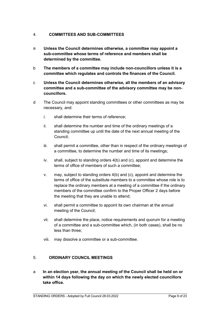## <span id="page-8-0"></span>4. **COMMITTEES AND SUB-COMMITTEES**

- a **Unless the Council determines otherwise, a committee may appoint a sub-committee whose terms of reference and members shall be determined by the committee.**
- b **The members of a committee may include non-councillors unless it is a committee which regulates and controls the finances of the Council.**
- c **Unless the Council determines otherwise, all the members of an advisory committee and a sub-committee of the advisory committee may be noncouncillors.**
- d The Council may appoint standing committees or other committees as may be necessary, and:
	- i. shall determine their terms of reference;
	- ii. shall determine the number and time of the ordinary meetings of a standing committee up until the date of the next annual meeting of the Council;
	- iii. shall permit a committee, other than in respect of the ordinary meetings of a committee, to determine the number and time of its meetings;
	- iv. shall, subject to standing orders 4(b) and (c), appoint and determine the terms of office of members of such a committee;
	- v. may, subject to standing orders 4(b) and (c), appoint and determine the terms of office of the substitute members to a committee whose role is to replace the ordinary members at a meeting of a committee if the ordinary members of the committee confirm to the Proper Officer 2 days before the meeting that they are unable to attend;
	- vi. shall permit a committee to appoint its own chairman at the annual meeting of the Council;
	- vii. shall determine the place, notice requirements and quorum for a meeting of a committee and a sub-committee which, (in both cases), shall be no less than three;
	- viii. may dissolve a committee or a sub-committee.

#### <span id="page-8-1"></span>5. **ORDINARY COUNCIL MEETINGS**

a **In an election year, the annual meeting of the Council shall be held on or within 14 days following the day on which the newly elected councillors take office.**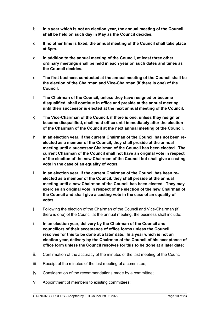- b **In a year which is not an election year, the annual meeting of the Council shall be held on such day in May as the Council decides.**
- c **If no other time is fixed, the annual meeting of the Council shall take place at 6pm.**
- d **In addition to the annual meeting of the Council, at least three other ordinary meetings shall be held in each year on such dates and times as the Council decides.**
- e **The first business conducted at the annual meeting of the Council shall be the election of the Chairman and Vice-Chairman (if there is one) of the Council.**
- f **The Chairman of the Council, unless they have resigned or become disqualified, shall continue in office and preside at the annual meeting until their successor is elected at the next annual meeting of the Council.**
- g **The Vice-Chairman of the Council, if there is one, unless they resign or become disqualified, shall hold office until immediately after the election of the Chairman of the Council at the next annual meeting of the Council.**
- h **In an election year, if the current Chairman of the Council has not been reelected as a member of the Council, they shall preside at the annual meeting until a successor Chairman of the Council has been elected. The current Chairman of the Council shall not have an original vote in respect of the election of the new Chairman of the Council but shall give a casting vote in the case of an equality of votes.**
- i **In an election year, if the current Chairman of the Council has been reelected as a member of the Council, they shall preside at the annual meeting until a new Chairman of the Council has been elected. They may exercise an original vote in respect of the election of the new Chairman of the Council and shall give a casting vote in the case of an equality of votes.**
- j Following the election of the Chairman of the Council and Vice-Chairman (if there is one) of the Council at the annual meeting, the business shall include:
- i. **In an election year, delivery by the Chairman of the Council and councillors of their acceptance of office forms unless the Council resolves for this to be done at a later date. In a year which is not an election year, delivery by the Chairman of the Council of his acceptance of office form unless the Council resolves for this to be done at a later date;**
- ii. Confirmation of the accuracy of the minutes of the last meeting of the Council;
- iii. Receipt of the minutes of the last meeting of a committee;
- iv. Consideration of the recommendations made by a committee;
- v. Appointment of members to existing committees;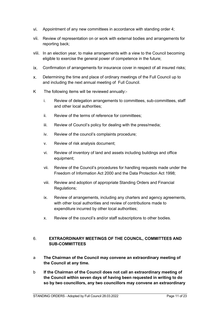- vi. Appointment of any new committees in accordance with standing order 4;
- vii. Review of representation on or work with external bodies and arrangements for reporting back;
- viii. In an election year, to make arrangements with a view to the Council becoming eligible to exercise the general power of competence in the future;
- ix. Confirmation of arrangements for insurance cover in respect of all insured risks;
- x. Determining the time and place of ordinary meetings of the Full Council up to and including the next annual meeting of Full Council.
- K The following items will be reviewed annually:
	- i. Review of delegation arrangements to committees, sub-committees, staff and other local authorities;
	- ii. Review of the terms of reference for committees;
	- iii. Review of Council's policy for dealing with the press/media;
	- iv. Review of the council's complaints procedure;
	- v. Review of risk analysis document;
	- vi. Review of inventory of land and assets including buildings and office equipment;
	- vii. Review of the Council's procedures for handling requests made under the Freedom of Information Act 2000 and the Data Protection Act 1998;
	- viii. Review and adoption of appropriate Standing Orders and Financial Regulations;
	- ix. Review of arrangements, including any charters and agency agreements, with other local authorities and review of contributions made to expenditure incurred by other local authorities;
	- x. Review of the council's and/or staff subscriptions to other bodies.

# <span id="page-10-0"></span>6. **EXTRAORDINARY MEETINGS OF THE COUNCIL, COMMITTEES AND SUB-COMMITTEES**

- a **The Chairman of the Council may convene an extraordinary meeting of the Council at any time.**
- b **If the Chairman of the Council does not call an extraordinary meeting of the Council within seven days of having been requested in writing to do so by two councillors, any two councillors may convene an extraordinary**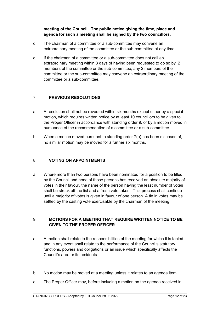# **meeting of the Council. The public notice giving the time, place and agenda for such a meeting shall be signed by the two councillors.**

- c The chairman of a committee or a sub-committee may convene an extraordinary meeting of the committee or the sub-committee at any time.
- d If the chairman of a committee or a sub-committee does not call an extraordinary meeting within 3 days of having been requested to do so by 2 members of the committee or the sub-committee, any 2 members of the committee or the sub-committee may convene an extraordinary meeting of the committee or a sub-committee.

# <span id="page-11-0"></span>7. **PREVIOUS RESOLUTIONS**

- a A resolution shall not be reversed within six months except either by a special motion, which requires written notice by at least 10 councillors to be given to the Proper Officer in accordance with standing order 9, or by a motion moved in pursuance of the recommendation of a committee or a sub-committee.
- b When a motion moved pursuant to standing order 7(a) has been disposed of, no similar motion may be moved for a further six months.

#### <span id="page-11-1"></span>8. **VOTING ON APPOINTMENTS**

a Where more than two persons have been nominated for a position to be filled by the Council and none of those persons has received an absolute majority of votes in their favour, the name of the person having the least number of votes shall be struck off the list and a fresh vote taken. This process shall continue until a majority of votes is given in favour of one person. A tie in votes may be settled by the casting vote exercisable by the chairman of the meeting.

# <span id="page-11-2"></span>9. **MOTIONS FOR A MEETING THAT REQUIRE WRITTEN NOTICE TO BE GIVEN TO THE PROPER OFFICER**

- a A motion shall relate to the responsibilities of the meeting for which it is tabled and in any event shall relate to the performance of the Council's statutory functions, powers and obligations or an issue which specifically affects the Council's area or its residents.
- b No motion may be moved at a meeting unless it relates to an agenda item.
- c The Proper Officer may, before including a motion on the agenda received in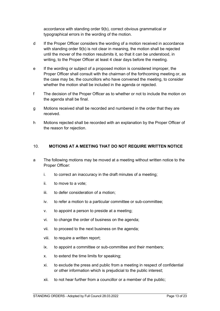accordance with standing order 9(b), correct obvious grammatical or typographical errors in the wording of the motion.

- d If the Proper Officer considers the wording of a motion received in accordance with standing order 9(b) is not clear in meaning, the motion shall be rejected until the mover of the motion resubmits it, so that it can be understood, in writing, to the Proper Officer at least 4 clear days before the meeting.
- e If the wording or subject of a proposed motion is considered improper, the Proper Officer shall consult with the chairman of the forthcoming meeting or, as the case may be, the councillors who have convened the meeting, to consider whether the motion shall be included in the agenda or rejected.
- f The decision of the Proper Officer as to whether or not to include the motion on the agenda shall be final.
- g Motions received shall be recorded and numbered in the order that they are received.
- h Motions rejected shall be recorded with an explanation by the Proper Officer of the reason for rejection.

#### <span id="page-12-0"></span>10. **MOTIONS AT A MEETING THAT DO NOT REQUIRE WRITTEN NOTICE**

- a The following motions may be moved at a meeting without written notice to the Proper Officer:
	- i. to correct an inaccuracy in the draft minutes of a meeting;
	- ii. to move to a vote;
	- iii. to defer consideration of a motion;
	- iv. to refer a motion to a particular committee or sub-committee;
	- v. to appoint a person to preside at a meeting;
	- vi. to change the order of business on the agenda;
	- vii. to proceed to the next business on the agenda;
	- viii. to require a written report;
	- ix. to appoint a committee or sub-committee and their members;
	- x. to extend the time limits for speaking;
	- xi. to exclude the press and public from a meeting in respect of confidential or other information which is prejudicial to the public interest;
	- xii. to not hear further from a councillor or a member of the public;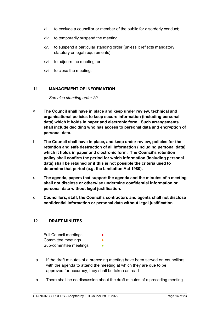- xiii. to exclude a councillor or member of the public for disorderly conduct;
- xiv. to temporarily suspend the meeting;
- xv. to suspend a particular standing order (unless it reflects mandatory statutory or legal requirements);
- xvi. to adjourn the meeting; or
- xvii. to close the meeting.

#### <span id="page-13-0"></span>11. **MANAGEMENT OF INFORMATION**

*See also standing order 20.*

- a **The Council shall have in place and keep under review, technical and organisational policies to keep secure information (including personal data) which it holds in paper and electronic form. Such arrangements shall include deciding who has access to personal data and encryption of personal data.**
- b **The Council shall have in place, and keep under review, policies for the retention and safe destruction of all information (including personal data) which it holds in paper and electronic form. The Council's retention policy shall confirm the period for which information (including personal data) shall be retained or if this is not possible the criteria used to determine that period (e.g. the Limitation Act 1980).**
- c **The agenda, papers that support the agenda and the minutes of a meeting shall not disclose or otherwise undermine confidential information or personal data without legal justification.**
- d **Councillors, staff, the Council's contractors and agents shall not disclose confidential information or personal data without legal justification.**

#### <span id="page-13-1"></span>12. **DRAFT MINUTES**

Full Council meetings Committee meetings Sub-committee meetings

- a If the draft minutes of a preceding meeting have been served on councillors with the agenda to attend the meeting at which they are due to be approved for accuracy, they shall be taken as read.
- b There shall be no discussion about the draft minutes of a preceding meeting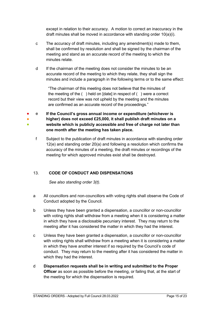except in relation to their accuracy. A motion to correct an inaccuracy in the draft minutes shall be moved in accordance with standing order 10(a)(i).

- c The accuracy of draft minutes, including any amendment(s) made to them, shall be confirmed by resolution and shall be signed by the chairman of the meeting and stand as an accurate record of the meeting to which the minutes relate.
- d If the chairman of the meeting does not consider the minutes to be an accurate record of the meeting to which they relate, they shall sign the minutes and include a paragraph in the following terms or to the same effect:

"The chairman of this meeting does not believe that the minutes of the meeting of the ( ) held on [date] in respect of ( ) were a correct record but their view was not upheld by the meeting and the minutes are confirmed as an accurate record of the proceedings."

- ● ● e **If the Council's gross annual income or expenditure (whichever is higher) does not exceed £25,000, it shall publish draft minutes on a website which is publicly accessible and free of charge not later than one month after the meeting has taken place.**
	- f Subject to the publication of draft minutes in accordance with standing order 12(e) and standing order 20(a) and following a resolution which confirms the accuracy of the minutes of a meeting, the draft minutes or recordings of the meeting for which approved minutes exist shall be destroyed.

# <span id="page-14-0"></span>13. **CODE OF CONDUCT AND DISPENSATIONS**

*See also standing order 3(t).*

- a All councillors and non-councillors with voting rights shall observe the Code of Conduct adopted by the Council.
- b Unless they have been granted a dispensation, a councillor or non-councillor with voting rights shall withdraw from a meeting when it is considering a matter in which they have a disclosable pecuniary interest. They may return to the meeting after it has considered the matter in which they had the interest.
- c Unless they have been granted a dispensation, a councillor or non-councillor with voting rights shall withdraw from a meeting when it is considering a matter in which they have another interest if so required by the Council's code of conduct. They may return to the meeting after it has considered the matter in which they had the interest.
- d **Dispensation requests shall be in writing and submitted to the Proper Officer** as soon as possible before the meeting, or failing that, at the start of the meeting for which the dispensation is required.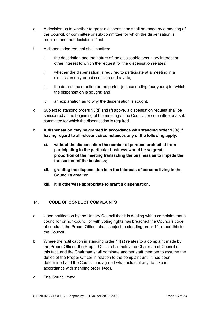- e A decision as to whether to grant a dispensation shall be made by a meeting of the Council, or committee or sub-committee for which the dispensation is required and that decision is final.
- f A dispensation request shall confirm:
	- i. the description and the nature of the disclosable pecuniary interest or other interest to which the request for the dispensation relates;
	- ii. whether the dispensation is required to participate at a meeting in a discussion only or a discussion and a vote;
	- iii. the date of the meeting or the period (not exceeding four years) for which the dispensation is sought; and
	- iv. an explanation as to why the dispensation is sought.
- g Subject to standing orders 13(d) and (f) above, a dispensation request shall be considered at the beginning of the meeting of the Council, or committee or a subcommittee for which the dispensation is required.
- **h A dispensation may be granted in accordance with standing order 13(e) if having regard to all relevant circumstances any of the following apply:**
	- **xi. without the dispensation the number of persons prohibited from participating in the particular business would be so great a proportion of the meeting transacting the business as to impede the transaction of the business;**
	- **xii. granting the dispensation is in the interests of persons living in the Council's area; or**
	- **xiii. it is otherwise appropriate to grant a dispensation.**

#### <span id="page-15-0"></span>14. **CODE OF CONDUCT COMPLAINTS**

- a Upon notification by the Unitary Council that it is dealing with a complaint that a councillor or non-councillor with voting rights has breached the Council's code of conduct, the Proper Officer shall, subject to standing order 11, report this to the Council.
- b Where the notification in standing order 14(a) relates to a complaint made by the Proper Officer, the Proper Officer shall notify the Chairman of Council of this fact, and the Chairman shall nominate another staff member to assume the duties of the Proper Officer in relation to the complaint until it has been determined and the Council has agreed what action, if any, to take in accordance with standing order 14(d).
- c The Council may: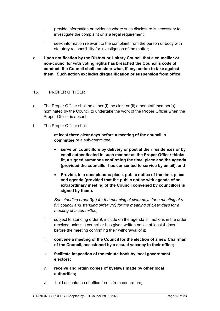- i. provide information or evidence where such disclosure is necessary to investigate the complaint or is a legal requirement;
- ii. seek information relevant to the complaint from the person or body with statutory responsibility for investigation of the matter;
- d **Upon notification by the District or Unitary Council that a councillor or non-councillor with voting rights has breached the Council's code of conduct, the Council shall consider what, if any, action to take against them. Such action excludes disqualification or suspension from office.**

#### <span id="page-16-0"></span>15. **PROPER OFFICER**

- a The Proper Officer shall be either (i) the clerk or (ii) other staff member(s) nominated by the Council to undertake the work of the Proper Officer when the Proper Officer is absent.
- b The Proper Officer shall:
	- i. **at least three clear days before a meeting of the council, a committee** or a sub-committee**,**
		- **serve on councillors by delivery or post at their residences or by email authenticated in such manner as the Proper Officer thinks fit, a signed summons confirming the time, place and the agenda (provided the councillor has consented to service by email), and**
		- **Provide, in a conspicuous place, public notice of the time, place and agenda (provided that the public notice with agenda of an extraordinary meeting of the Council convened by councillors is signed by them).**

*See standing order 3(b) for the meaning of clear days for a meeting of a full council and standing order 3(c) for the meaning of clear days for a meeting of a committee;*

- ii. subject to standing order 9, include on the agenda all motions in the order received unless a councillor has given written notice at least 4 days before the meeting confirming their withdrawal of it;
- iii. **convene a meeting of the Council for the election of a new Chairman of the Council, occasioned by a casual vacancy in their office;**
- iv. **facilitate inspection of the minute book by local government electors;**
- v. **receive and retain copies of byelaws made by other local authorities;**
- vi. hold acceptance of office forms from councillors;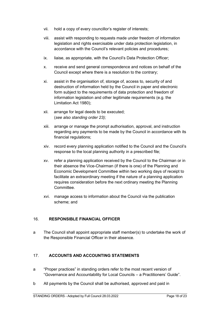- vii. hold a copy of every councillor's register of interests;
- viii. assist with responding to requests made under freedom of information legislation and rights exercisable under data protection legislation, in accordance with the Council's relevant policies and procedures;
- ix. liaise, as appropriate, with the Council's Data Protection Officer;
- x. receive and send general correspondence and notices on behalf of the Council except where there is a resolution to the contrary;
- xi. assist in the organisation of, storage of, access to, security of and destruction of information held by the Council in paper and electronic form subject to the requirements of data protection and freedom of information legislation and other legitimate requirements (e.g. the Limitation Act 1980);
- xii. arrange for legal deeds to be executed; (*see also standing order 23);*
- xiii. arrange or manage the prompt authorisation, approval, and instruction regarding any payments to be made by the Council in accordance with its financial regulations;
- xiv. record every planning application notified to the Council and the Council's response to the local planning authority in a prescribed file;
- xv. refer a planning application received by the Council to the Chairman or in their absence the Vice-Chairman (if there is one) of the Planning and Economic Development Committee within two working days of receipt to facilitate an extraordinary meeting if the nature of a planning application requires consideration before the next ordinary meeting the Planning Committee.
- xvi. manage access to information about the Council via the publication scheme; and

#### <span id="page-17-0"></span>16. **RESPONSIBLE FINANCIAL OFFICER**

a The Council shall appoint appropriate staff member(s) to undertake the work of the Responsible Financial Officer in their absence.

#### <span id="page-17-1"></span>17. **ACCOUNTS AND ACCOUNTING STATEMENTS**

- a "Proper practices" in standing orders refer to the most recent version of "Governance and Accountability for Local Councils – a Practitioners' Guide".
- b All payments by the Council shall be authorised, approved and paid in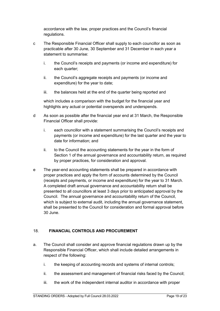accordance with the law, proper practices and the Council's financial regulations.

- c The Responsible Financial Officer shall supply to each councillor as soon as practicable after 30 June, 30 September and 31 December in each year a statement to summarise:
	- i. the Council's receipts and payments (or income and expenditure) for each quarter;
	- ii. the Council's aggregate receipts and payments (or income and expenditure) for the year to date;
	- iii. the balances held at the end of the quarter being reported and

which includes a comparison with the budget for the financial year and highlights any actual or potential overspends and underspends.

- d As soon as possible after the financial year end at 31 March, the Responsible Financial Officer shall provide:
	- i. each councillor with a statement summarising the Council's receipts and payments (or income and expenditure) for the last quarter and the year to date for information; and
	- ii. to the Council the accounting statements for the year in the form of Section 1 of the annual governance and accountability return, as required by proper practices, for consideration and approval.
- e The year-end accounting statements shall be prepared in accordance with proper practices and apply the form of accounts determined by the Council (receipts and payments, or income and expenditure) for the year to 31 March. A completed draft annual governance and accountability return shall be presented to all councillors at least 3 days prior to anticipated approval by the Council. The annual governance and accountability return of the Council, which is subject to external audit, including the annual governance statement, shall be presented to the Council for consideration and formal approval before 30 June.

# <span id="page-18-0"></span>18. **FINANCIAL CONTROLS AND PROCUREMENT**

- a. The Council shall consider and approve financial regulations drawn up by the Responsible Financial Officer, which shall include detailed arrangements in respect of the following:
	- i. the keeping of accounting records and systems of internal controls;
	- ii. the assessment and management of financial risks faced by the Council;
	- iii. the work of the independent internal auditor in accordance with proper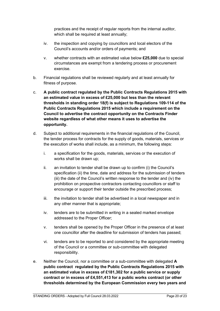practices and the receipt of regular reports from the internal auditor, which shall be required at least annually;

- iv. the inspection and copying by councillors and local electors of the Council's accounts and/or orders of payments; and
- v. whether contracts with an estimated value below **£25,000** due to special circumstances are exempt from a tendering process or procurement exercise.
- b. Financial regulations shall be reviewed regularly and at least annually for fitness of purpose.
- c. **A public contract regulated by the Public Contracts Regulations 2015 with an estimated value in excess of £25,000 but less than the relevant thresholds in standing order 18(f) is subject to Regulations 109-114 of the Public Contracts Regulations 2015 which include a requirement on the Council to advertise the contract opportunity on the Contracts Finder website regardless of what other means it uses to advertise the opportunity.**
- d. Subject to additional requirements in the financial regulations of the Council, the tender process for contracts for the supply of goods, materials, services or the execution of works shall include, as a minimum, the following steps:
	- i. a specification for the goods, materials, services or the execution of works shall be drawn up;
	- ii. an invitation to tender shall be drawn up to confirm (i) the Council's specification (ii) the time, date and address for the submission of tenders (iii) the date of the Council's written response to the tender and (iv) the prohibition on prospective contractors contacting councillors or staff to encourage or support their tender outside the prescribed process;
	- iii. the invitation to tender shall be advertised in a local newspaper and in any other manner that is appropriate;
	- iv. tenders are to be submitted in writing in a sealed marked envelope addressed to the Proper Officer;
	- v. tenders shall be opened by the Proper Officer in the presence of at least one councillor after the deadline for submission of tenders has passed;
	- vi. tenders are to be reported to and considered by the appropriate meeting of the Council or a committee or sub-committee with delegated responsibility.
- e. Neither the Council, nor a committee or a sub-committee with delegated **A public contract regulated by the Public Contracts Regulations 2015 with an estimated value in excess of £181,302 for a public service or supply contract or in excess of £4,551,413 for a public works contract (or other thresholds determined by the European Commission every two years and**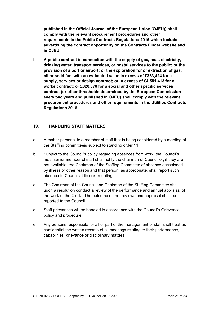**published in the Official Journal of the European Union (OJEU)) shall comply with the relevant procurement procedures and other requirements in the Public Contracts Regulations 2015 which include advertising the contract opportunity on the Contracts Finder website and in OJEU.**

f. **A public contract in connection with the supply of gas, heat, electricity, drinking water, transport services, or postal services to the public; or the provision of a port or airport; or the exploration for or extraction of gas, oil or solid fuel with an estimated value in excess of £363,424 for a supply, services or design contract; or in excess of £4,551,413 for a works contract; or £820,370 for a social and other specific services contract (or other thresholds determined by the European Commission every two years and published in OJEU) shall comply with the relevant procurement procedures and other requirements in the Utilities Contracts Regulations 2016.**

#### <span id="page-20-0"></span>19. **HANDLING STAFF MATTERS**

- a A matter personal to a member of staff that is being considered by a meeting of the Staffing committeeis subject to standing order 11.
- b Subject to the Council's policy regarding absences from work, the Council's most senior member of staff shall notify the chairman of Council or, if they are not available, the Chairman of the Staffing Committee of absence occasioned by illness or other reason and that person, as appropriate, shall report such absence to Council at its next meeting.
- c The Chairman of the Council and Chairman of the Staffing Committee shall upon a resolution conduct a review of the performance and annual appraisal of the work of the Clerk. The outcome of the reviews and appraisal shall be reported to the Council.
- d Staff grievances will be handled in accordance with the Council's Grievance policy and procedure.
- e Any persons responsible for all or part of the management of staff shall treat as confidential the written records of all meetings relating to their performance, capabilities, grievance or disciplinary matters.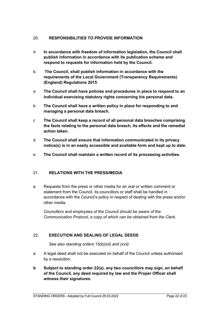# <span id="page-21-0"></span>20. **RESPONSIBILITIES TO PROVIDE INFORMATION**

- a **In accordance with freedom of information legislation, the Council shall publish information in accordance with its publication scheme and respond to requests for information held by the Council.**
- b. **The Council, shall publish information in accordance with the requirements of the Local Government (Transparency Requirements) (England) Regulations 2015**.
- a **The Council shall have policies and procedures in place to respond to an individual exercising statutory rights concerning his personal data.**
- b **The Council shall have a written policy in place for responding to and managing a personal data breach.**
- c **The Council shall keep a record of all personal data breaches comprising the facts relating to the personal data breach, its effects and the remedial action taken.**
- d **The Council shall ensure that information communicated in its privacy notice(s) is in an easily accessible and available form and kept up to date.**
- e **The Council shall maintain a written record of its processing activities.**

#### <span id="page-21-1"></span>21. **RELATIONS WITH THE PRESS/MEDIA**

a Requests from the press or other media for an oral or written comment or statement from the Council, its councillors or staff shall be handled in accordance with the Council's policy in respect of dealing with the press and/or other media.

*Councillors and employees of the Council should be aware of the Communication Protocol, a copy of which can be obtained from the Clerk.*

#### <span id="page-21-2"></span>22. **EXECUTION AND SEALING OF LEGAL DEEDS**

*See also standing orders 15(b)(xii) and (xvii).*

- a A legal deed shall not be executed on behalf of the Council unless authorised by a resolution.
- **b Subject to standing order 22(a), any two councillors may sign, on behalf of the Council, any deed required by law and the Proper Officer shall witness their signatures.**